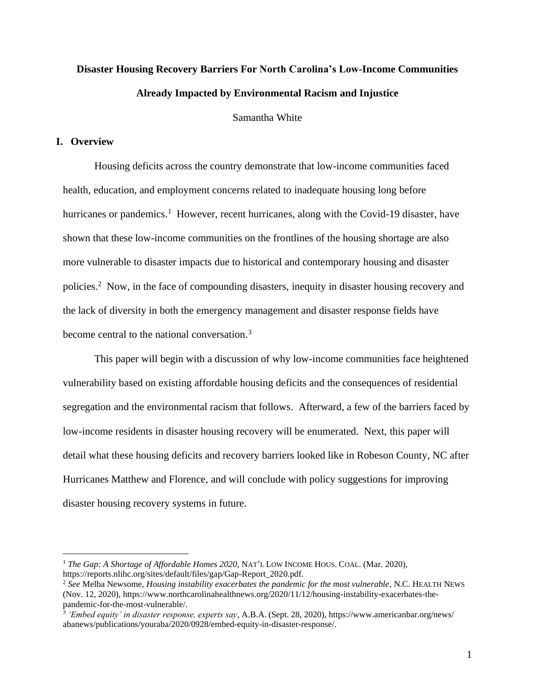# **Disaster Housing Recovery Barriers For North Carolina's Low-Income Communities Already Impacted by Environmental Racism and Injustice**

Samantha White

# **I. Overview**

Housing deficits across the country demonstrate that low-income communities faced health, education, and employment concerns related to inadequate housing long before hurricanes or pandemics.<sup>1</sup> However, recent hurricanes, along with the Covid-19 disaster, have shown that these low-income communities on the frontlines of the housing shortage are also more vulnerable to disaster impacts due to historical and contemporary housing and disaster policies. <sup>2</sup> Now, in the face of compounding disasters, inequity in disaster housing recovery and the lack of diversity in both the emergency management and disaster response fields have become central to the national conversation. 3

This paper will begin with a discussion of why low-income communities face heightened vulnerability based on existing affordable housing deficits and the consequences of residential segregation and the environmental racism that follows. Afterward, a few of the barriers faced by low-income residents in disaster housing recovery will be enumerated. Next, this paper will detail what these housing deficits and recovery barriers looked like in Robeson County, NC after Hurricanes Matthew and Florence, and will conclude with policy suggestions for improving disaster housing recovery systems in future.

<sup>1</sup> *The Gap: A Shortage of Affordable Homes 2020*, NAT'L LOW INCOME HOUS. COAL. (Mar. 2020), https://reports.nlihc.org/sites/default/files/gap/Gap-Report\_2020.pdf.

<sup>2</sup> *See* Melba Newsome, *Housing instability exacerbates the pandemic for the most vulnerable*, N.C. HEALTH NEWS (Nov. 12, 2020), https://www.northcarolinahealthnews.org/2020/11/12/housing-instability-exacerbates-thepandemic-for-the-most-vulnerable/. 3 *'Embed equity' in disaster response, experts say*, A.B.A. (Sept. 28, 2020), https://www.americanbar.org/news/

abanews/publications/youraba/2020/0928/embed-equity-in-disaster-response/.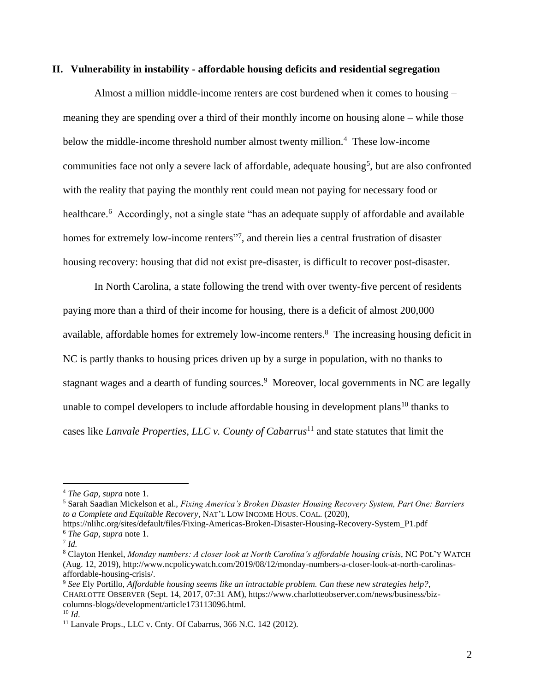### **II. Vulnerability in instability - affordable housing deficits and residential segregation**

Almost a million middle-income renters are cost burdened when it comes to housing – meaning they are spending over a third of their monthly income on housing alone – while those below the middle-income threshold number almost twenty million.<sup>4</sup> These low-income communities face not only a severe lack of affordable, adequate housing<sup>5</sup>, but are also confronted with the reality that paying the monthly rent could mean not paying for necessary food or healthcare.<sup>6</sup> Accordingly, not a single state "has an adequate supply of affordable and available homes for extremely low-income renters"<sup>7</sup>, and therein lies a central frustration of disaster housing recovery: housing that did not exist pre-disaster, is difficult to recover post-disaster.

In North Carolina, a state following the trend with over twenty-five percent of residents paying more than a third of their income for housing, there is a deficit of almost 200,000 available, affordable homes for extremely low-income renters.<sup>8</sup> The increasing housing deficit in NC is partly thanks to housing prices driven up by a surge in population, with no thanks to stagnant wages and a dearth of funding sources.<sup>9</sup> Moreover, local governments in NC are legally unable to compel developers to include affordable housing in development plans<sup>10</sup> thanks to cases like *Lanvale Properties, LLC v. County of Cabarrus*<sup>11</sup> and state statutes that limit the

<sup>5</sup> Sarah Saadian Mickelson et al., *Fixing America's Broken Disaster Housing Recovery System, Part One: Barriers to a Complete and Equitable Recovery*, NAT'L LOW INCOME HOUS. COAL. (2020),

https://nlihc.org/sites/default/files/Fixing-Americas-Broken-Disaster-Housing-Recovery-System\_P1.pdf <sup>6</sup> *The Gap*, *supra* note 1.

7 *Id.*

<sup>4</sup> *The Gap*, *supra* note 1.

<sup>8</sup> Clayton Henkel, *Monday numbers: A closer look at North Carolina's affordable housing crisis*, NC POL'Y WATCH (Aug. 12, 2019), http://www.ncpolicywatch.com/2019/08/12/monday-numbers-a-closer-look-at-north-carolinasaffordable-housing-crisis/.

<sup>9</sup> *See* Ely Portillo, *Affordable housing seems like an intractable problem. Can these new strategies help?*, CHARLOTTE OBSERVER (Sept. 14, 2017, 07:31 AM), https://www.charlotteobserver.com/news/business/bizcolumns-blogs/development/article173113096.html.

 $10 \, \text{Id}$ .

<sup>11</sup> Lanvale Props., LLC v. Cnty. Of Cabarrus, 366 N.C. 142 (2012).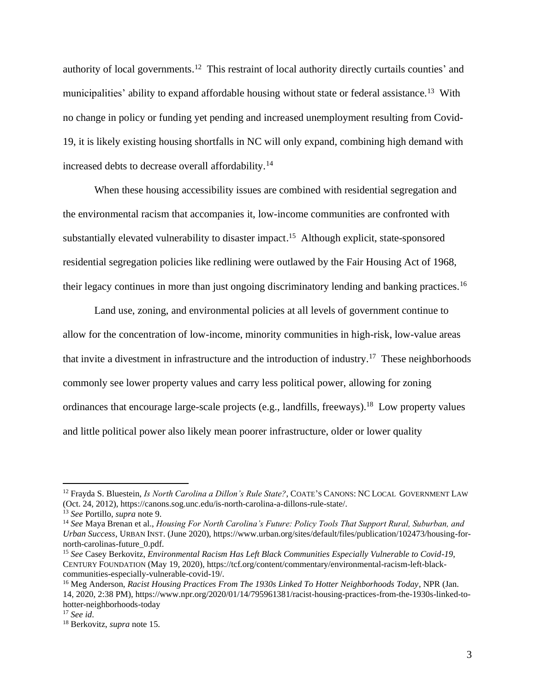authority of local governments.<sup>12</sup> This restraint of local authority directly curtails counties' and municipalities' ability to expand affordable housing without state or federal assistance.<sup>13</sup> With no change in policy or funding yet pending and increased unemployment resulting from Covid-19, it is likely existing housing shortfalls in NC will only expand, combining high demand with increased debts to decrease overall affordability.<sup>14</sup>

When these housing accessibility issues are combined with residential segregation and the environmental racism that accompanies it, low-income communities are confronted with substantially elevated vulnerability to disaster impact.<sup>15</sup> Although explicit, state-sponsored residential segregation policies like redlining were outlawed by the Fair Housing Act of 1968, their legacy continues in more than just ongoing discriminatory lending and banking practices.<sup>16</sup>

Land use, zoning, and environmental policies at all levels of government continue to allow for the concentration of low-income, minority communities in high-risk, low-value areas that invite a divestment in infrastructure and the introduction of industry. <sup>17</sup> These neighborhoods commonly see lower property values and carry less political power, allowing for zoning ordinances that encourage large-scale projects (e.g., landfills, freeways). <sup>18</sup> Low property values and little political power also likely mean poorer infrastructure, older or lower quality

<sup>12</sup> Frayda S. Bluestein, *Is North Carolina a Dillon's Rule State?*, COATE'S CANONS: NC LOCAL GOVERNMENT LAW (Oct. 24, 2012), https://canons.sog.unc.edu/is-north-carolina-a-dillons-rule-state/.

<sup>13</sup> *See* Portillo, *supra* note 9.

<sup>14</sup> *See* Maya Brenan et al., *Housing For North Carolina's Future: Policy Tools That Support Rural, Suburban, and Urban Success*, URBAN INST. (June 2020), https://www.urban.org/sites/default/files/publication/102473/housing-fornorth-carolinas-future\_0.pdf.

<sup>15</sup> *See* Casey Berkovitz, *Environmental Racism Has Left Black Communities Especially Vulnerable to Covid-19*, CENTURY FOUNDATION (May 19, 2020), https://tcf.org/content/commentary/environmental-racism-left-blackcommunities-especially-vulnerable-covid-19/.

<sup>16</sup> Meg Anderson, *Racist Housing Practices From The 1930s Linked To Hotter Neighborhoods Today*, NPR (Jan. 14, 2020, 2:38 PM), https://www.npr.org/2020/01/14/795961381/racist-housing-practices-from-the-1930s-linked-tohotter-neighborhoods-today

<sup>17</sup> *See id*.

<sup>18</sup> Berkovitz, *supra* note 15.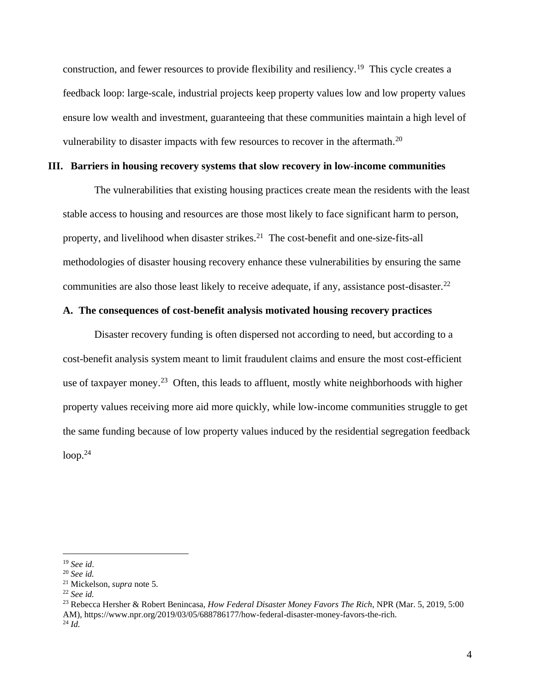construction, and fewer resources to provide flexibility and resiliency.<sup>19</sup> This cycle creates a feedback loop: large-scale, industrial projects keep property values low and low property values ensure low wealth and investment, guaranteeing that these communities maintain a high level of vulnerability to disaster impacts with few resources to recover in the aftermath.<sup>20</sup>

# **III. Barriers in housing recovery systems that slow recovery in low-income communities**

The vulnerabilities that existing housing practices create mean the residents with the least stable access to housing and resources are those most likely to face significant harm to person, property, and livelihood when disaster strikes.<sup>21</sup> The cost-benefit and one-size-fits-all methodologies of disaster housing recovery enhance these vulnerabilities by ensuring the same communities are also those least likely to receive adequate, if any, assistance post-disaster.<sup>22</sup>

# **A. The consequences of cost-benefit analysis motivated housing recovery practices**

Disaster recovery funding is often dispersed not according to need, but according to a cost-benefit analysis system meant to limit fraudulent claims and ensure the most cost-efficient use of taxpayer money.<sup>23</sup> Often, this leads to affluent, mostly white neighborhoods with higher property values receiving more aid more quickly, while low-income communities struggle to get the same funding because of low property values induced by the residential segregation feedback loop. 24

<sup>23</sup> Rebecca Hersher & Robert Benincasa, *How Federal Disaster Money Favors The Rich*, NPR (Mar. 5, 2019, 5:00 AM), https://www.npr.org/2019/03/05/688786177/how-federal-disaster-money-favors-the-rich. <sup>24</sup> *Id.*

<sup>19</sup> *See id*.

<sup>20</sup> *See id.*

<sup>21</sup> Mickelson, *supra* note 5.

<sup>22</sup> *See id.*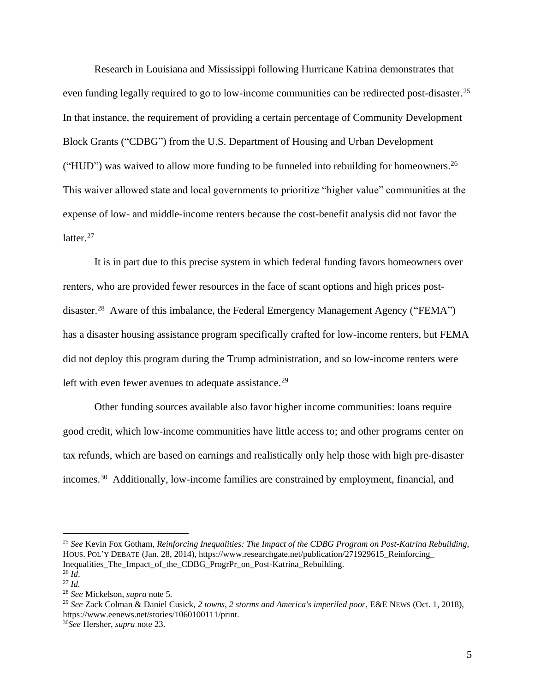Research in Louisiana and Mississippi following Hurricane Katrina demonstrates that even funding legally required to go to low-income communities can be redirected post-disaster.<sup>25</sup> In that instance, the requirement of providing a certain percentage of Community Development Block Grants ("CDBG") from the U.S. Department of Housing and Urban Development ("HUD") was waived to allow more funding to be funneled into rebuilding for homeowners.<sup>26</sup> This waiver allowed state and local governments to prioritize "higher value" communities at the expense of low- and middle-income renters because the cost-benefit analysis did not favor the latter.<sup>27</sup>

It is in part due to this precise system in which federal funding favors homeowners over renters, who are provided fewer resources in the face of scant options and high prices postdisaster.<sup>28</sup> Aware of this imbalance, the Federal Emergency Management Agency ("FEMA") has a disaster housing assistance program specifically crafted for low-income renters, but FEMA did not deploy this program during the Trump administration, and so low-income renters were left with even fewer avenues to adequate assistance.<sup>29</sup>

Other funding sources available also favor higher income communities: loans require good credit, which low-income communities have little access to; and other programs center on tax refunds, which are based on earnings and realistically only help those with high pre-disaster incomes. <sup>30</sup> Additionally, low-income families are constrained by employment, financial, and

<sup>25</sup> *See* Kevin Fox Gotham, *Reinforcing Inequalities: The Impact of the CDBG Program on Post-Katrina Rebuilding*, HOUS. POL'Y DEBATE (Jan. 28, 2014), https://www.researchgate.net/publication/271929615\_Reinforcing\_ Inequalities The Impact of the CDBG ProgrPr on Post-Katrina Rebuilding.  $^{26}$  *Id*.

<sup>27</sup> *Id.*

<sup>28</sup> *See* Mickelson, *supra* note 5.

<sup>29</sup> *See* Zack Colman & Daniel Cusick, *2 towns, 2 storms and America's imperiled poor*, E&E NEWS (Oct. 1, 2018), https://www.eenews.net/stories/1060100111/print.

<sup>30</sup>*See* Hersher, *supra* note 23.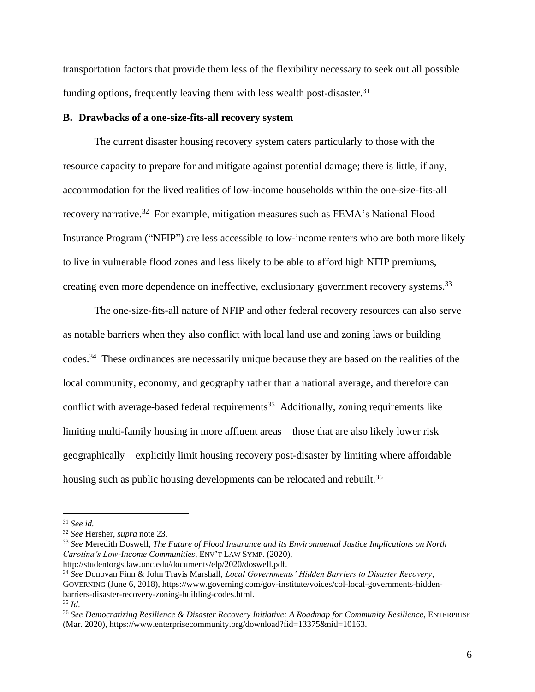transportation factors that provide them less of the flexibility necessary to seek out all possible funding options, frequently leaving them with less wealth post-disaster.<sup>31</sup>

#### **B. Drawbacks of a one-size-fits-all recovery system**

The current disaster housing recovery system caters particularly to those with the resource capacity to prepare for and mitigate against potential damage; there is little, if any, accommodation for the lived realities of low-income households within the one-size-fits-all recovery narrative.<sup>32</sup> For example, mitigation measures such as FEMA's National Flood Insurance Program ("NFIP") are less accessible to low-income renters who are both more likely to live in vulnerable flood zones and less likely to be able to afford high NFIP premiums, creating even more dependence on ineffective, exclusionary government recovery systems.<sup>33</sup>

The one-size-fits-all nature of NFIP and other federal recovery resources can also serve as notable barriers when they also conflict with local land use and zoning laws or building codes.<sup>34</sup> These ordinances are necessarily unique because they are based on the realities of the local community, economy, and geography rather than a national average, and therefore can conflict with average-based federal requirements<sup>35</sup> Additionally, zoning requirements like limiting multi-family housing in more affluent areas – those that are also likely lower risk geographically – explicitly limit housing recovery post-disaster by limiting where affordable housing such as public housing developments can be relocated and rebuilt.<sup>36</sup>

<sup>31</sup> *See id.*

<sup>32</sup> *See* Hersher, *supra* note 23.

<sup>33</sup> *See* Meredith Doswell, *The Future of Flood Insurance and its Environmental Justice Implications on North Carolina's Low-Income Communities*, ENV'T LAW SYMP. (2020),

http://studentorgs.law.unc.edu/documents/elp/2020/doswell.pdf.

<sup>34</sup> *See* Donovan Finn & John Travis Marshall, *Local Governments' Hidden Barriers to Disaster Recovery*, GOVERNING (June 6, 2018), https://www.governing.com/gov-institute/voices/col-local-governments-hiddenbarriers-disaster-recovery-zoning-building-codes.html. <sup>35</sup> *Id*.

<sup>36</sup> *See Democratizing Resilience & Disaster Recovery Initiative: A Roadmap for Community Resilience*, ENTERPRISE (Mar. 2020), https://www.enterprisecommunity.org/download?fid=13375&nid=10163.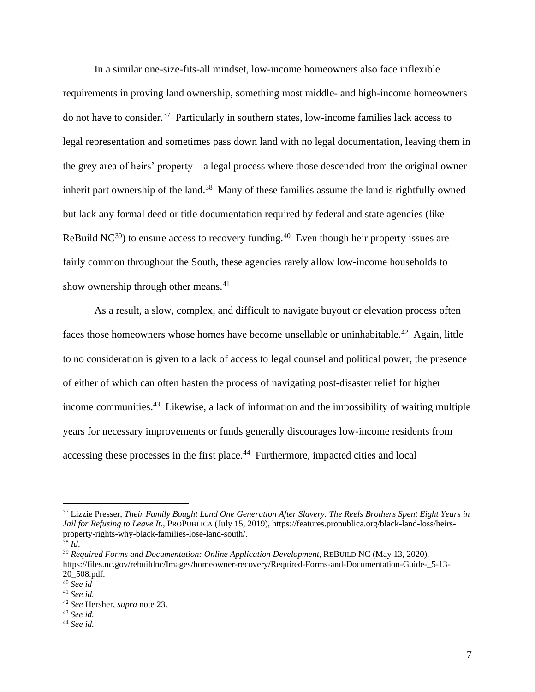In a similar one-size-fits-all mindset, low-income homeowners also face inflexible requirements in proving land ownership, something most middle- and high-income homeowners do not have to consider. <sup>37</sup> Particularly in southern states, low-income families lack access to legal representation and sometimes pass down land with no legal documentation, leaving them in the grey area of heirs' property – a legal process where those descended from the original owner inherit part ownership of the land.<sup>38</sup> Many of these families assume the land is rightfully owned but lack any formal deed or title documentation required by federal and state agencies (like ReBuild  $NC^{39}$ ) to ensure access to recovery funding.<sup>40</sup> Even though heir property issues are fairly common throughout the South, these agencies rarely allow low-income households to show ownership through other means.<sup>41</sup>

As a result, a slow, complex, and difficult to navigate buyout or elevation process often faces those homeowners whose homes have become unsellable or uninhabitable.<sup>42</sup> Again, little to no consideration is given to a lack of access to legal counsel and political power, the presence of either of which can often hasten the process of navigating post-disaster relief for higher income communities. <sup>43</sup> Likewise, a lack of information and the impossibility of waiting multiple years for necessary improvements or funds generally discourages low-income residents from accessing these processes in the first place.<sup>44</sup> Furthermore, impacted cities and local

<sup>39</sup> *Required Forms and Documentation: Online Application Development*, REBUILD NC (May 13, 2020), https://files.nc.gov/rebuildnc/Images/homeowner-recovery/Required-Forms-and-Documentation-Guide- 5-13-20\_508.pdf.

<sup>37</sup> Lizzie Presser, *Their Family Bought Land One Generation After Slavery. The Reels Brothers Spent Eight Years in Jail for Refusing to Leave It.,* PROPUBLICA (July 15, 2019), https://features.propublica.org/black-land-loss/heirsproperty-rights-why-black-families-lose-land-south/.

 $38 \, Id$ .

<sup>40</sup> *See id*

<sup>41</sup> *See id.*

<sup>42</sup> *See* Hersher, *supra* note 23.

<sup>43</sup> *See id.*

<sup>44</sup> *See id.*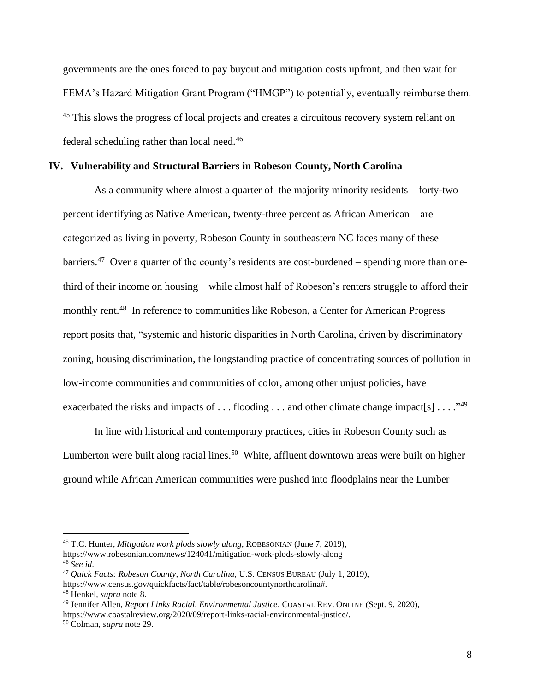governments are the ones forced to pay buyout and mitigation costs upfront, and then wait for FEMA's Hazard Mitigation Grant Program ("HMGP") to potentially, eventually reimburse them. <sup>45</sup> This slows the progress of local projects and creates a circuitous recovery system reliant on federal scheduling rather than local need.<sup>46</sup>

## **IV. Vulnerability and Structural Barriers in Robeson County, North Carolina**

As a community where almost a quarter of the majority minority residents – forty-two percent identifying as Native American, twenty-three percent as African American – are categorized as living in poverty, Robeson County in southeastern NC faces many of these barriers.<sup>47</sup> Over a quarter of the county's residents are cost-burdened – spending more than onethird of their income on housing – while almost half of Robeson's renters struggle to afford their monthly rent.<sup>48</sup> In reference to communities like Robeson, a Center for American Progress report posits that, "systemic and historic disparities in North Carolina, driven by discriminatory zoning, housing discrimination, the longstanding practice of concentrating sources of pollution in low-income communities and communities of color, among other unjust policies, have exacerbated the risks and impacts of . . . flooding . . . and other climate change impact[s] . . . . "<sup>49</sup>

In line with historical and contemporary practices, cities in Robeson County such as Lumberton were built along racial lines.<sup>50</sup> White, affluent downtown areas were built on higher ground while African American communities were pushed into floodplains near the Lumber

<sup>45</sup> T.C. Hunter, *Mitigation work plods slowly along*, ROBESONIAN (June 7, 2019), https://www.robesonian.com/news/124041/mitigation-work-plods-slowly-along <sup>46</sup> *See id*.

<sup>47</sup> *Quick Facts: Robeson County, North Carolina*, U.S. CENSUS BUREAU (July 1, 2019), https://www.census.gov/quickfacts/fact/table/robesoncountynorthcarolina#. <sup>48</sup> Henkel, *supra* note 8.

<sup>49</sup> Jennifer Allen, *Report Links Racial, Environmental Justice*, COASTAL REV. ONLINE (Sept. 9, 2020), https://www.coastalreview.org/2020/09/report-links-racial-environmental-justice/.

<sup>50</sup> Colman, *supra* note 29.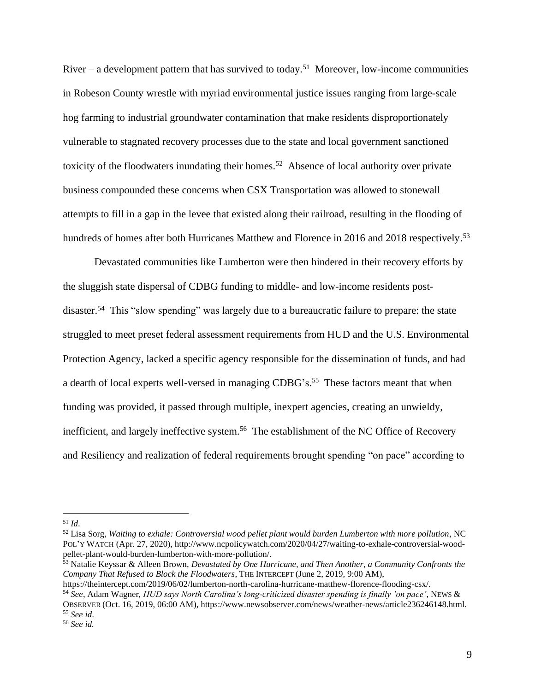River – a development pattern that has survived to today.<sup>51</sup> Moreover, low-income communities in Robeson County wrestle with myriad environmental justice issues ranging from large-scale hog farming to industrial groundwater contamination that make residents disproportionately vulnerable to stagnated recovery processes due to the state and local government sanctioned toxicity of the floodwaters inundating their homes.<sup>52</sup> Absence of local authority over private business compounded these concerns when CSX Transportation was allowed to stonewall attempts to fill in a gap in the levee that existed along their railroad, resulting in the flooding of hundreds of homes after both Hurricanes Matthew and Florence in 2016 and 2018 respectively.<sup>53</sup>

Devastated communities like Lumberton were then hindered in their recovery efforts by the sluggish state dispersal of CDBG funding to middle- and low-income residents postdisaster.<sup>54</sup> This "slow spending" was largely due to a bureaucratic failure to prepare: the state struggled to meet preset federal assessment requirements from HUD and the U.S. Environmental Protection Agency, lacked a specific agency responsible for the dissemination of funds, and had a dearth of local experts well-versed in managing CDBG's.<sup>55</sup> These factors meant that when funding was provided, it passed through multiple, inexpert agencies, creating an unwieldy, inefficient, and largely ineffective system. <sup>56</sup> The establishment of the NC Office of Recovery and Resiliency and realization of federal requirements brought spending "on pace" according to

<sup>51</sup> *Id*.

<sup>52</sup> Lisa Sorg, *Waiting to exhale: Controversial wood pellet plant would burden Lumberton with more pollution*, NC POL'Y WATCH (Apr. 27, 2020), http://www.ncpolicywatch.com/2020/04/27/waiting-to-exhale-controversial-woodpellet-plant-would-burden-lumberton-with-more-pollution/.

<sup>53</sup> Natalie Keyssar & Alleen Brown, *Devastated by One Hurricane, and Then Another, a Community Confronts the Company That Refused to Block the Floodwaters*, THE INTERCEPT (June 2, 2019, 9:00 AM),

https://theintercept.com/2019/06/02/lumberton-north-carolina-hurricane-matthew-florence-flooding-csx/.

<sup>54</sup> *See*, Adam Wagner, *HUD says North Carolina's long-criticized disaster spending is finally 'on pace'*, NEWS & OBSERVER (Oct. 16, 2019, 06:00 AM), https://www.newsobserver.com/news/weather-news/article236246148.html. <sup>55</sup> *See id*.

<sup>56</sup> *See id.*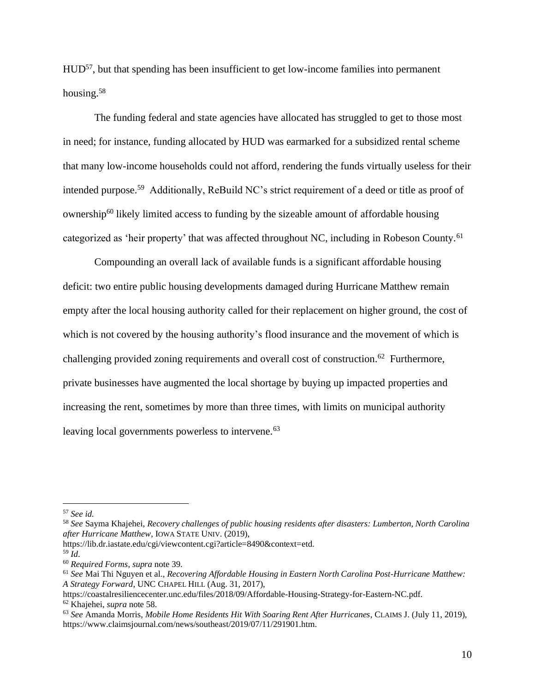HUD<sup>57</sup>, but that spending has been insufficient to get low-income families into permanent housing.<sup>58</sup>

The funding federal and state agencies have allocated has struggled to get to those most in need; for instance, funding allocated by HUD was earmarked for a subsidized rental scheme that many low-income households could not afford, rendering the funds virtually useless for their intended purpose. <sup>59</sup> Additionally, ReBuild NC's strict requirement of a deed or title as proof of ownership<sup>60</sup> likely limited access to funding by the sizeable amount of affordable housing categorized as 'heir property' that was affected throughout NC, including in Robeson County.<sup>61</sup>

Compounding an overall lack of available funds is a significant affordable housing deficit: two entire public housing developments damaged during Hurricane Matthew remain empty after the local housing authority called for their replacement on higher ground, the cost of which is not covered by the housing authority's flood insurance and the movement of which is challenging provided zoning requirements and overall cost of construction.<sup>62</sup> Furthermore, private businesses have augmented the local shortage by buying up impacted properties and increasing the rent, sometimes by more than three times, with limits on municipal authority leaving local governments powerless to intervene.<sup>63</sup>

<sup>57</sup> *See id.*

<sup>58</sup> *See* Sayma Khajehei, *Recovery challenges of public housing residents after disasters: Lumberton, North Carolina after Hurricane Matthew*, IOWA STATE UNIV. (2019),

https://lib.dr.iastate.edu/cgi/viewcontent.cgi?article=8490&context=etd.

<sup>59</sup> *Id*.

<sup>60</sup> *Required Forms*, *supra* note 39.

<sup>61</sup> *See* Mai Thi Nguyen et al., *Recovering Affordable Housing in Eastern North Carolina Post-Hurricane Matthew: A Strategy Forward*, UNC CHAPEL HILL (Aug. 31, 2017),

https://coastalresiliencecenter.unc.edu/files/2018/09/Affordable-Housing-Strategy-for-Eastern-NC.pdf. <sup>62</sup> Khajehei, *supra* note 58.

<sup>63</sup> *See* Amanda Morris, *Mobile Home Residents Hit With Soaring Rent After Hurricanes*, CLAIMS J. (July 11, 2019), https://www.claimsjournal.com/news/southeast/2019/07/11/291901.htm.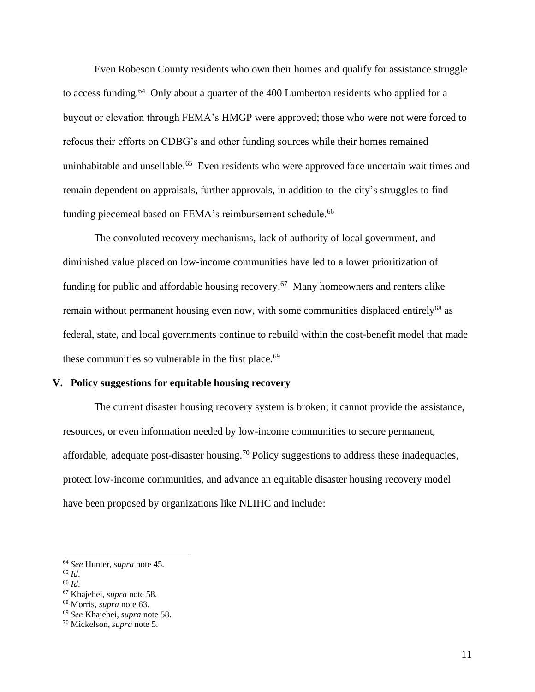Even Robeson County residents who own their homes and qualify for assistance struggle to access funding. <sup>64</sup> Only about a quarter of the 400 Lumberton residents who applied for a buyout or elevation through FEMA's HMGP were approved; those who were not were forced to refocus their efforts on CDBG's and other funding sources while their homes remained uninhabitable and unsellable. <sup>65</sup> Even residents who were approved face uncertain wait times and remain dependent on appraisals, further approvals, in addition to the city's struggles to find funding piecemeal based on FEMA's reimbursement schedule.<sup>66</sup>

The convoluted recovery mechanisms, lack of authority of local government, and diminished value placed on low-income communities have led to a lower prioritization of funding for public and affordable housing recovery.<sup>67</sup> Many homeowners and renters alike remain without permanent housing even now, with some communities displaced entirely<sup>68</sup> as federal, state, and local governments continue to rebuild within the cost-benefit model that made these communities so vulnerable in the first place.<sup>69</sup>

# **V. Policy suggestions for equitable housing recovery**

The current disaster housing recovery system is broken; it cannot provide the assistance, resources, or even information needed by low-income communities to secure permanent, affordable, adequate post-disaster housing.<sup>70</sup> Policy suggestions to address these inadequacies, protect low-income communities, and advance an equitable disaster housing recovery model have been proposed by organizations like NLIHC and include:

<sup>64</sup> *See* Hunter, *supra* note 45.

<sup>65</sup> *Id*.

<sup>66</sup> *Id*.

<sup>67</sup> Khajehei, *supra* note 58.

<sup>68</sup> Morris, *supra* note 63.

<sup>69</sup> *See* Khajehei, *supra* note 58.

<sup>70</sup> Mickelson, *supra* note 5.